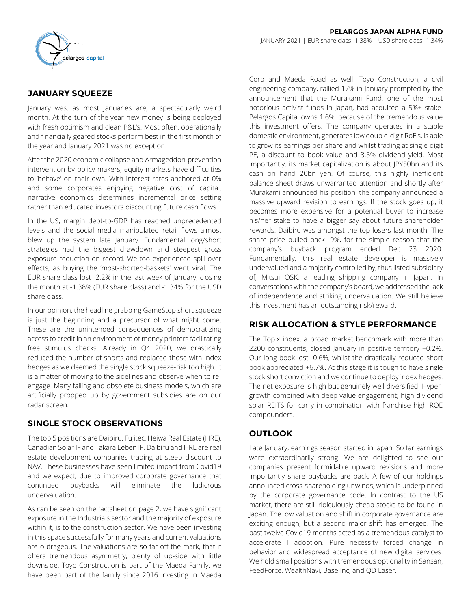

# **JANUARY SQUEEZE**

January was, as most Januaries are, a spectacularly weird month. At the turn-of-the-year new money is being deployed with fresh optimism and clean P&L's. Most often, operationally and financially geared stocks perform best in the first month of the year and January 2021 was no exception.

After the 2020 economic collapse and Armageddon-prevention intervention by policy makers, equity markets have difficulties to 'behave' on their own. With interest rates anchored at 0% and some corporates enjoying negative cost of capital, narrative economics determines incremental price setting rather than educated investors discounting future cash flows.

In the US, margin debt-to-GDP has reached unprecedented levels and the social media manipulated retail flows almost blew up the system late January. Fundamental long/short strategies had the biggest drawdown and steepest gross exposure reduction on record. We too experienced spill-over effects, as buying the 'most-shorted-baskets' went viral. The EUR share class lost -2.2% in the last week of January, closing the month at -1.38% (EUR share class) and -1.34% for the USD share class.

In our opinion, the headline grabbing GameStop short squeeze is just the beginning and a precursor of what might come. These are the unintended consequences of democratizing access to credit in an environment of money printers facilitating free stimulus checks. Already in Q4 2020, we drastically reduced the number of shorts and replaced those with index hedges as we deemed the single stock squeeze-risk too high. It is a matter of moving to the sidelines and observe when to reengage. Many failing and obsolete business models, which are artificially propped up by government subsidies are on our radar screen.

# **SINGLE STOCK OBSERVATIONS**

The top 5 positions are Daibiru, Fujitec, Heiwa Real Estate (HRE), Canadian Solar IF and Takara Leben IF. Daibiru and HRE are real estate development companies trading at steep discount to NAV. These businesses have seen limited impact from Covid19 and we expect, due to improved corporate governance that continued buybacks will eliminate the ludicrous undervaluation.

As can be seen on the factsheet on page 2, we have significant exposure in the Industrials sector and the majority of exposure within it, is to the construction sector. We have been investing in this space successfully for many years and current valuations are outrageous. The valuations are so far off the mark, that it offers tremendous asymmetry, plenty of up-side with little downside. Toyo Construction is part of the Maeda Family, we have been part of the family since 2016 investing in Maeda

Corp and Maeda Road as well. Toyo Construction, a civil engineering company, rallied 17% in January prompted by the announcement that the Murakami Fund, one of the most notorious activist funds in Japan, had acquired a 5%+ stake. Pelargos Capital owns 1.6%, because of the tremendous value this investment offers. The company operates in a stable domestic environment, generates low double-digit RoE's, is able to grow its earnings-per-share and whilst trading at single-digit PE, a discount to book value and 3.5% dividend yield. Most importantly, its market capitalization is about JPY50bn and its cash on hand 20bn yen. Of course, this highly inefficient balance sheet draws unwarranted attention and shortly after Murakami announced his position, the company announced a massive upward revision to earnings. If the stock goes up, it becomes more expensive for a potential buyer to increase his/her stake to have a bigger say about future shareholder rewards. Daibiru was amongst the top losers last month. The share price pulled back -9%, for the simple reason that the company's buyback program ended Dec 23 2020. Fundamentally, this real estate developer is massively undervalued and a majority controlled by, thus listed subsidiary of, Mitsui OSK, a leading shipping company in Japan. In conversations with the company's board, we addressed the lack of independence and striking undervaluation. We still believe this investment has an outstanding risk/reward.

# **RISK ALLOCATION & STYLE PERFORMANCE**

The Topix index, a broad market benchmark with more than 2200 constituents, closed January in positive territory +0.2%. Our long book lost -0.6%, whilst the drastically reduced short book appreciated +6.7%. At this stage it is tough to have single stock short conviction and we continue to deploy index hedges. The net exposure is high but genuinely well diversified. Hypergrowth combined with deep value engagement; high dividend solar REITS for carry in combination with franchise high ROE compounders.

# **OUTLOOK**

Late January, earnings season started in Japan. So far earnings were extraordinarily strong. We are delighted to see our companies present formidable upward revisions and more importantly share buybacks are back. A few of our holdings announced cross-shareholding unwinds, which is underpinned by the corporate governance code. In contrast to the US market, there are still ridiculously cheap stocks to be found in Japan. The low valuation and shift in corporate governance are exciting enough, but a second major shift has emerged. The past twelve Covid19 months acted as a tremendous catalyst to accelerate IT-adoption. Pure necessity forced change in behavior and widespread acceptance of new digital services. We hold small positions with tremendous optionality in Sansan, FeedForce, WealthNavi, Base Inc, and QD Laser.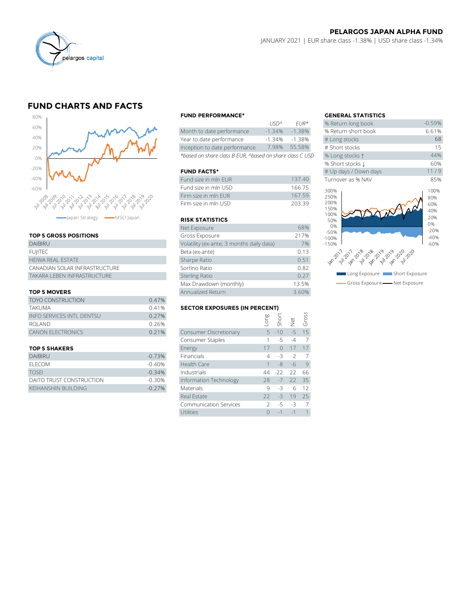

# **FUND CHARTS AND FACTS**



### **TOP 5 GROSS POSITIONS**

| DAIBIRU                       | Volatility (ex-ante; 3 months daily data) |
|-------------------------------|-------------------------------------------|
| <b>FUIITEC</b>                | Beta (ex-ante)                            |
| <b>HEIWA REAL ESTATE</b>      | Sharpe Ratio                              |
| CANADIAN SOLAR INFRASTRUCTURE | Sortino Ratio                             |
| TAKARA I FBFN INFRASTRUCTURF  | <b>Sterling Ratio</b>                     |

## **TOP 5 MOVERS**

|                                  |       | Max Drawdown (monthly)               |      |          | 13.5%                |       |
|----------------------------------|-------|--------------------------------------|------|----------|----------------------|-------|
| <b>TOP 5 MOVERS</b>              |       | Annualized Return                    |      | 3.60%    |                      |       |
| <b>TOYO CONSTRUCTION</b>         | 0.47% |                                      |      |          |                      |       |
| TAKUMA                           | 0.41% | <b>SECTOR EXPOSURES (IN PERCENT)</b> |      |          |                      |       |
| <b>INFO SERVICES INTL DENTSU</b> | 0.27% |                                      | guo. |          |                      | Gross |
| ROLAND                           | 0.26% |                                      |      | Shor     | $\frac{1}{\sqrt{2}}$ |       |
| <b>CANON ELECTRONICS</b>         | 0.21% | <b>Consumer Discretionary</b>        |      | $5 - 10$ | $-5$                 | 15    |
|                                  |       | Consumer Staples                     |      |          | $-4$                 |       |
|                                  |       |                                      |      |          |                      |       |

| <b>DAIBIRU</b>           | $-0.73%$  | Financials             | $4 - 3$       |            |      |
|--------------------------|-----------|------------------------|---------------|------------|------|
| ELECOM                   | $-0.40\%$ | Health Care            |               | $-8 - 6 9$ |      |
| <b>TOSFI</b>             | $-0.34%$  | Industrials            | 44 - 22 22 66 |            |      |
| DAITO TRUST CONSTRUCTION | -0.30%    | Information Technology | 28 -7 22 35   |            |      |
| KEIHANSHIN BUILDING      | $-0.27\%$ | <b>Materials</b>       | $-3$          |            | 6 12 |

### **FUND PERFORMANCE\* GENERAL STATISTICS**

|                                                          | 11511'          | $FIR^{\pi}$ | % Return long dook  |
|----------------------------------------------------------|-----------------|-------------|---------------------|
| Month to date performance                                | $-1.34%$        | $-1.38\%$   | % Return short book |
| Year to date performance                                 | $-1.34%$        | -138%       | # Long stocks       |
| Inception to date performance                            | 7.98%           | 55.58%      | # Short stocks      |
| *based on share class B EUR, ^based on share class C USD | % Long stocks 1 |             |                     |

## **FUND FACTS\***

| Fund size in mln FUR | 13740  | Turnover as % NAV |
|----------------------|--------|-------------------|
| Fund size in mln USD | 166.75 | 300%              |
| Firm size in mln FUR | 16759  | 250%              |
| Firm size in mln USD | 203.39 | 200%              |

## **RISK STATISTICS**

| Firm size in mln EUR                      | 167.59 |
|-------------------------------------------|--------|
| Firm size in mln USD                      | 203.39 |
|                                           |        |
| <b>RISK STATISTICS</b>                    |        |
| Net Exposure                              | 68%    |
| Gross Exposure                            | 217%   |
| Volatility (ex-ante; 3 months daily data) | 7%     |
| Beta (ex-ante)                            | 0.13   |
| Sharpe Ratio                              | 0.51   |
| Sortino Ratio                             | 0.82   |
| <b>Sterling Ratio</b>                     | 0.27   |
| Max Drawdown (monthly)                    | 13.5%  |
| Annualized Return                         | 3.60%  |

## **SECTOR EXPOSURES (IN PERCENT)**

| <b>TOYO CONSTRUCTION</b>         | 0.47%    |                                      |      |           |               |       |  |  |
|----------------------------------|----------|--------------------------------------|------|-----------|---------------|-------|--|--|
| TAKUMA                           | 0.41%    | <b>SECTOR EXPOSURES (IN PERCENT)</b> |      |           |               |       |  |  |
| <b>INFO SERVICES INTL DENTSU</b> | 0.27%    |                                      | suo- | Short     |               | Gross |  |  |
| <b>ROLAND</b>                    | 0.26%    |                                      |      |           | Net           |       |  |  |
| <b>CANON ELECTRONICS</b>         | 0.21%    | Consumer Discretionary               |      | $5 - 10$  | $-5$          | 15    |  |  |
|                                  |          | Consumer Staples                     |      | $-5$      | $-4$          | 7     |  |  |
| <b>TOP 5 SHAKERS</b>             |          | Energy                               | 17   | $\bigcap$ | 17            | 17    |  |  |
| <b>DAIBIRU</b>                   | $-0.73%$ | Financials                           | 4    | $-3$      | $\mathcal{P}$ | 7     |  |  |
| <b>ELECOM</b>                    | $-0.40%$ | Health Care                          |      | $-8$      | -6            | 9     |  |  |
| TOSEI                            | $-0.34%$ | Industrials                          | 44   | $-22$     | 22            | 66    |  |  |
| DAITO TRUST CONSTRUCTION         | $-0.30%$ | Information Technology               | 28   | $-7$      | 22            | 35    |  |  |
| KEIHANSHIN BUILDING              | $-0.27%$ | <b>Materials</b>                     | 9    | $-3$      | 6             | 12    |  |  |
|                                  |          | Real Estate                          | 22   | $-3$      | 19            | 25    |  |  |
|                                  |          | <b>Communication Services</b>        |      | -5        | $-3$          | -7    |  |  |
|                                  |          | Utilities                            |      | $-1$      | $-1$          |       |  |  |

|          |                            | <b>GENERAL STATISTICS</b>                   |                                  |
|----------|----------------------------|---------------------------------------------|----------------------------------|
| USD^     | $FIR*$                     | % Return long book                          | $-0.59%$                         |
| $-1.34%$ | $-1.38%$                   | % Return short book                         | 6.61%                            |
| $-1.34%$ | $-1.38%$                   | # Long stocks                               | 68                               |
| 7.98%    | 55.58%                     | # Short stocks                              | 15                               |
|          | on share class C USD       | % Long stocks 1                             | 44%                              |
|          |                            | % Short stocks L                            | 60%                              |
|          |                            | # Up days / Down days                       | 11/9                             |
|          | 137.40                     | Turnover as % NAV                           | 85%                              |
|          | 166.75<br>167.59<br>203.39 | 300%<br>250%<br>200%<br>150%<br>100%<br>50% | 100%<br>80%<br>60%<br>40%<br>20% |
|          | 68%                        | 0%                                          | 0%                               |
|          | 217%                       | $-50%$<br>$-100%$                           | $-20%$<br>$-40%$                 |
| ata)     | 7%                         | $-150%$                                     | $-60%$                           |
|          | 0.13                       |                                             |                                  |
|          | 0.51                       |                                             |                                  |
|          | 0.82                       |                                             |                                  |
|          | 0.27                       | Long Exposure <b>The Short Exposure</b>     |                                  |
|          | 13.5%                      | Gross Exposure - Net Exposure               |                                  |